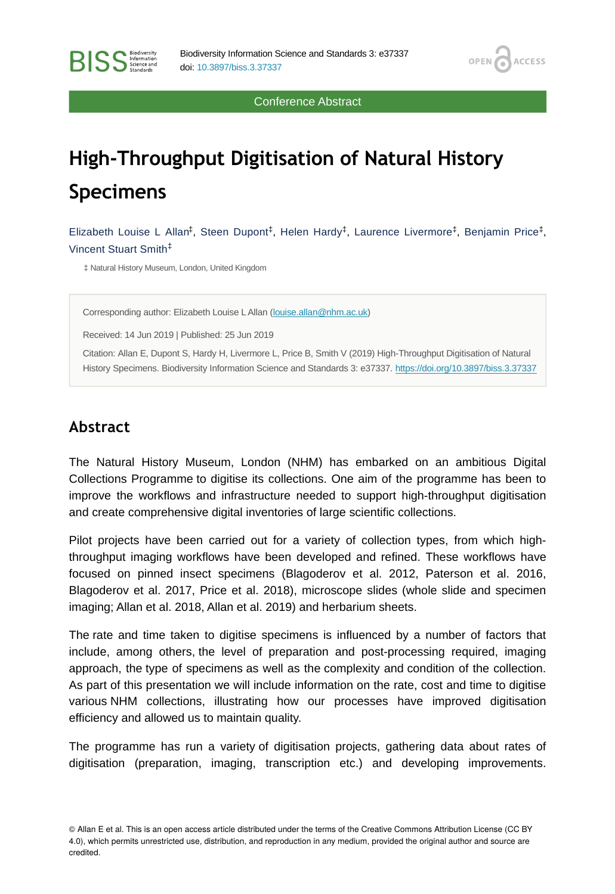Conference Abstract

OPEN<sub>6</sub>

**ACCESS** 

# **High-Throughput Digitisation of Natural History Specimens**

Elizabeth Louise L Allan<sup>‡</sup>, Steen Dupont<sup>‡</sup>, Helen Hardy<sup>‡</sup>, Laurence Livermore<sup>‡</sup>, Benjamin Price<sup>‡</sup>, Vincent Stuart Smith ‡

‡ Natural History Museum, London, United Kingdom

Corresponding author: Elizabeth Louise L Allan ([louise.allan@nhm.ac.uk](mailto:louise.allan@nhm.ac.uk))

Received: 14 Jun 2019 | Published: 25 Jun 2019

Citation: Allan E, Dupont S, Hardy H, Livermore L, Price B, Smith V (2019) High-Throughput Digitisation of Natural History Specimens. Biodiversity Information Science and Standards 3: e37337.<https://doi.org/10.3897/biss.3.37337>

## **Abstract**

**RISS** Science and

The Natural History Museum, London (NHM) has embarked on an ambitious Digital Collections Programme to digitise its collections. One aim of the programme has been to improve the workflows and infrastructure needed to support high-throughput digitisation and create comprehensive digital inventories of large scientific collections.

Pilot projects have been carried out for a variety of collection types, from which highthroughput imaging workflows have been developed and refined. These workflows have focused on pinned insect specimens (Blagoderov et al. 2012, Paterson et al. 2016, Blagoderov et al. 2017, Price et al. 2018), microscope slides (whole slide and specimen imaging; Allan et al. 2018, Allan et al. 2019) and herbarium sheets.

The rate and time taken to digitise specimens is influenced by a number of factors that include, among others, the level of preparation and post-processing required, imaging approach, the type of specimens as well as the complexity and condition of the collection. As part of this presentation we will include information on the rate, cost and time to digitise various NHM collections, illustrating how our processes have improved digitisation efficiency and allowed us to maintain quality.

The programme has run a variety of digitisation projects, gathering data about rates of digitisation (preparation, imaging, transcription etc.) and developing improvements.

<sup>©</sup> Allan E et al. This is an open access article distributed under the terms of the Creative Commons Attribution License (CC BY 4.0), which permits unrestricted use, distribution, and reproduction in any medium, provided the original author and source are credited.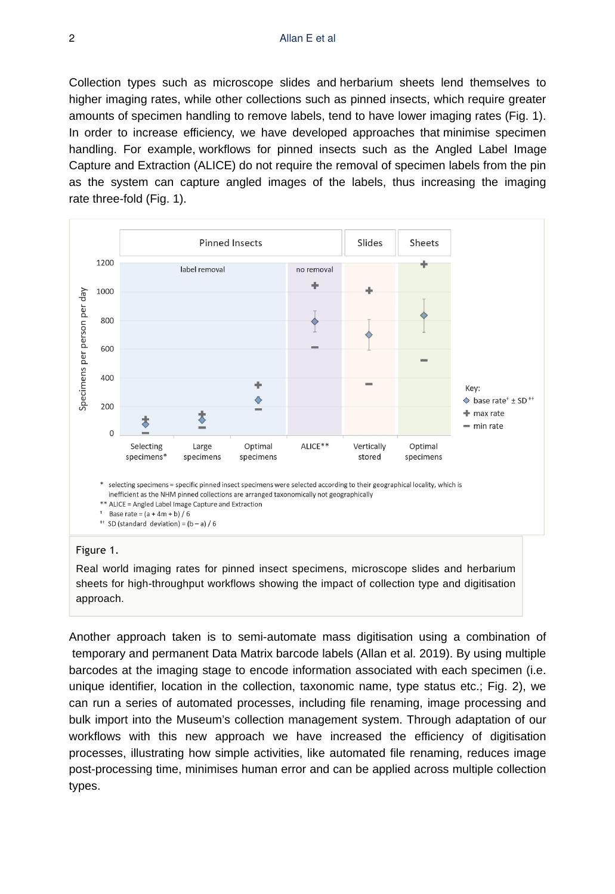Collection types such as microscope slides and herbarium sheets lend themselves to higher imaging rates, while other collections such as pinned insects, which require greater amounts of specimen handling to remove labels, tend to have lower imaging rates (Fig. 1). In order to increase efficiency, we have developed approaches that minimise specimen handling. For example, workflows for pinned insects such as the Angled Label Image Capture and Extraction (ALICE) do not require the removal of specimen labels from the pin as the system can capture angled images of the labels, thus increasing the imaging rate three-fold (Fig. 1).



### <sup>++</sup> SD (standard deviation) =  $(b - a) / 6$

#### Figure 1.

Real world imaging rates for pinned insect specimens, microscope slides and herbarium sheets for high-throughput workflows showing the impact of collection type and digitisation approach.

Another approach taken is to semi-automate mass digitisation using a combination of temporary and permanent Data Matrix barcode labels (Allan et al. 2019). By using multiple barcodes at the imaging stage to encode information associated with each specimen (i.e. unique identifier, location in the collection, taxonomic name, type status etc.; Fig. 2), we can run a series of automated processes, including file renaming, image processing and bulk import into the Museum's collection management system. Through adaptation of our workflows with this new approach we have increased the efficiency of digitisation processes, illustrating how simple activities, like automated file renaming, reduces image post-processing time, minimises human error and can be applied across multiple collection types.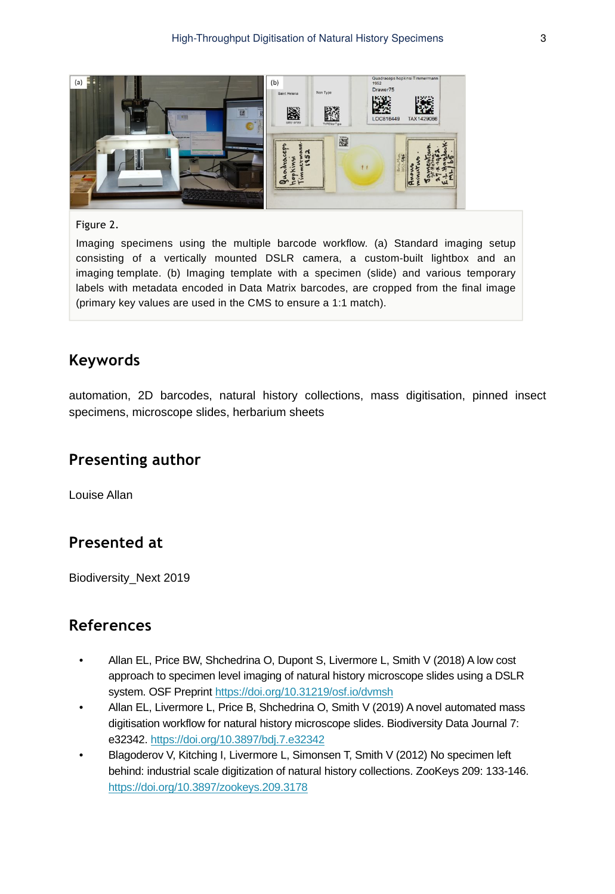

## Figure 2.

Imaging specimens using the multiple barcode workflow. (a) Standard imaging setup consisting of a vertically mounted DSLR camera, a custom-built lightbox and an imaging template. (b) Imaging template with a specimen (slide) and various temporary labels with metadata encoded in Data Matrix barcodes, are cropped from the final image (primary key values are used in the CMS to ensure a 1:1 match).

## **Keywords**

automation, 2D barcodes, natural history collections, mass digitisation, pinned insect specimens, microscope slides, herbarium sheets

## **Presenting author**

Louise Allan

# **Presented at**

Biodiversity\_Next 2019

# **References**

- Allan EL, Price BW, Shchedrina O, Dupont S, Livermore L, Smith V (2018) A low cost approach to specimen level imaging of natural history microscope slides using a DSLR system. OSF Preprint <https://doi.org/10.31219/osf.io/dvmsh>
- Allan EL, Livermore L, Price B, Shchedrina O, Smith V (2019) A novel automated mass digitisation workflow for natural history microscope slides. Biodiversity Data Journal 7: e32342. <https://doi.org/10.3897/bdj.7.e32342>
- Blagoderov V, Kitching I, Livermore L, Simonsen T, Smith V (2012) No specimen left behind: industrial scale digitization of natural history collections. ZooKeys 209: 133‑146. <https://doi.org/10.3897/zookeys.209.3178>